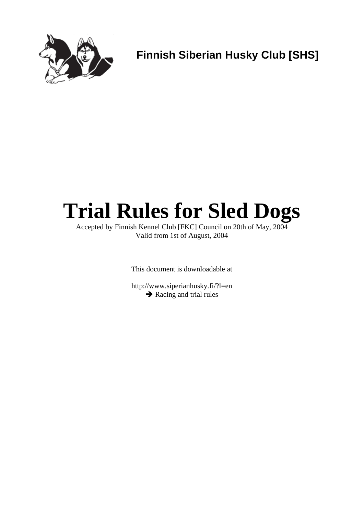

**Finnish Siberian Husky Club [SHS]** 

# **Trial Rules for Sled Dogs**

Accepted by Finnish Kennel Club [FKC] Council on 20th of May, 2004 Valid from 1st of August, 2004

This document is downloadable at

http://www.siperianhusky.fi/?l=en **→** Racing and trial rules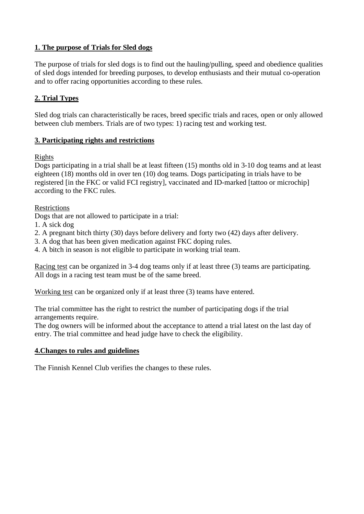#### **1. The purpose of Trials for Sled dogs**

The purpose of trials for sled dogs is to find out the hauling/pulling, speed and obedience qualities of sled dogs intended for breeding purposes, to develop enthusiasts and their mutual co-operation and to offer racing opportunities according to these rules.

#### **2. Trial Types**

Sled dog trials can characteristically be races, breed specific trials and races, open or only allowed between club members. Trials are of two types: 1) racing test and working test.

#### **3. Participating rights and restrictions**

#### Rights

Dogs participating in a trial shall be at least fifteen (15) months old in 3-10 dog teams and at least eighteen (18) months old in over ten (10) dog teams. Dogs participating in trials have to be registered [in the FKC or valid FCI registry], vaccinated and ID-marked [tattoo or microchip] according to the FKC rules.

**Restrictions** 

Dogs that are not allowed to participate in a trial:

- 1. A sick dog
- 2. A pregnant bitch thirty (30) days before delivery and forty two (42) days after delivery.
- 3. A dog that has been given medication against FKC doping rules.
- 4. A bitch in season is not eligible to participate in working trial team.

Racing test can be organized in 3-4 dog teams only if at least three (3) teams are participating. All dogs in a racing test team must be of the same breed.

Working test can be organized only if at least three (3) teams have entered.

The trial committee has the right to restrict the number of participating dogs if the trial arrangements require.

The dog owners will be informed about the acceptance to attend a trial latest on the last day of entry. The trial committee and head judge have to check the eligibility.

#### **4.Changes to rules and guidelines**

The Finnish Kennel Club verifies the changes to these rules.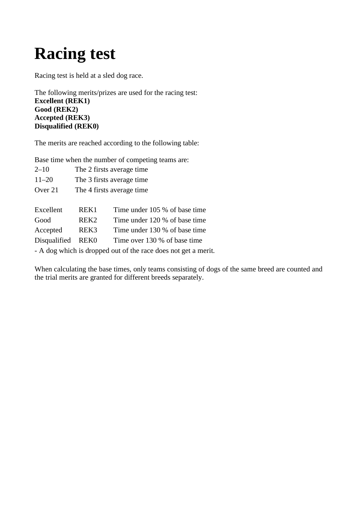### **Racing test**

Racing test is held at a sled dog race.

The following merits/prizes are used for the racing test: **Excellent (REK1) Good (REK2) Accepted (REK3) Disqualified (REK0)** 

The merits are reached according to the following table:

Base time when the number of competing teams are:

| $2 - 10$                                                       |                           | The 2 firsts average time     |  |  |
|----------------------------------------------------------------|---------------------------|-------------------------------|--|--|
| $11 - 20$                                                      | The 3 firsts average time |                               |  |  |
| Over 21                                                        | The 4 firsts average time |                               |  |  |
|                                                                |                           |                               |  |  |
| Excellent                                                      | REK1                      | Time under 105 % of base time |  |  |
| Good                                                           | REK <sub>2</sub>          | Time under 120 % of base time |  |  |
| Accepted                                                       | REK <sub>3</sub>          | Time under 130 % of base time |  |  |
| Disqualified                                                   | REK0                      | Time over 130 % of base time  |  |  |
| - A dog which is dropped out of the race does not get a merit. |                           |                               |  |  |

When calculating the base times, only teams consisting of dogs of the same breed are counted and the trial merits are granted for different breeds separately.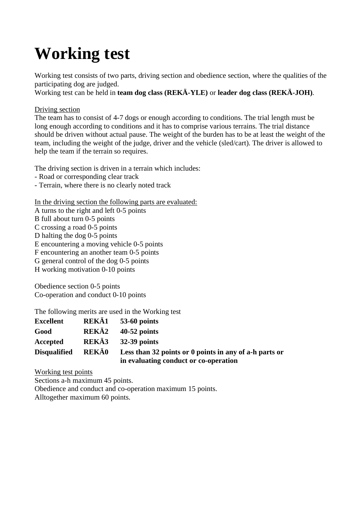### **Working test**

Working test consists of two parts, driving section and obedience section, where the qualities of the participating dog are judged.

Working test can be held in **team dog class (REKÄ-YLE)** or **leader dog class (REKÄ-JOH)**.

#### Driving section

The team has to consist of 4-7 dogs or enough according to conditions. The trial length must be long enough according to conditions and it has to comprise various terrains. The trial distance should be driven without actual pause. The weight of the burden has to be at least the weight of the team, including the weight of the judge, driver and the vehicle (sled/cart). The driver is allowed to help the team if the terrain so requires.

The driving section is driven in a terrain which includes:

- Road or corresponding clear track
- Terrain, where there is no clearly noted track

In the driving section the following parts are evaluated:

- A turns to the right and left 0-5 points
- B full about turn 0-5 points
- C crossing a road 0-5 points
- D halting the dog 0-5 points
- E encountering a moving vehicle 0-5 points
- F encountering an another team 0-5 points
- G general control of the dog 0-5 points
- H working motivation 0-10 points

Obedience section 0-5 points Co-operation and conduct 0-10 points

The following merits are used in the Working test

| <b>Excellent</b>    | REKÄ1        | $53-60$ points                                         |
|---------------------|--------------|--------------------------------------------------------|
| Good                | REKÄ2        | $40-52$ points                                         |
| Accepted            | REKÄ3        | $32-39$ points                                         |
| <b>Disqualified</b> | <b>REKÄ0</b> | Less than 32 points or 0 points in any of a-h parts or |
|                     |              | in evaluating conduct or co-operation                  |

Working test points

Sections a-h maximum 45 points.

Obedience and conduct and co-operation maximum 15 points. Alltogether maximum 60 points.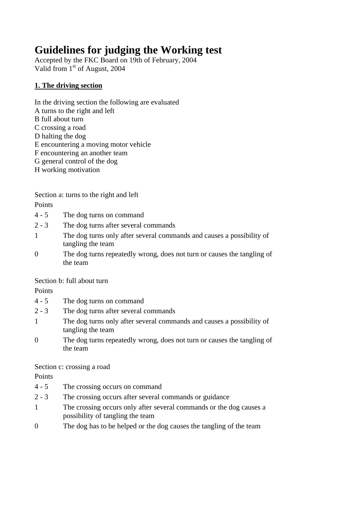### **Guidelines for judging the Working test**

Accepted by the FKC Board on 19th of February, 2004 Valid from 1<sup>st</sup> of August, 2004

#### **1. The driving section**

- In the driving section the following are evaluated A turns to the right and left B full about turn C crossing a road D halting the dog E encountering a moving motor vehicle F encountering an another team G general control of the dog
- H working motivation

Section a: turns to the right and left

Points

- 4 5 The dog turns on command
- 2 3 The dog turns after several commands
- 1 The dog turns only after several commands and causes a possibility of tangling the team
- 0 The dog turns repeatedly wrong, does not turn or causes the tangling of the team

Section b: full about turn

Points

- 4 5 The dog turns on command
- 2 3 The dog turns after several commands
- 1 The dog turns only after several commands and causes a possibility of tangling the team
- 0 The dog turns repeatedly wrong, does not turn or causes the tangling of the team

#### Section c: crossing a road

Points

- 4 5 The crossing occurs on command
- 2 3 The crossing occurs after several commands or guidance
- 1 The crossing occurs only after several commands or the dog causes a possibility of tangling the team
- 0 The dog has to be helped or the dog causes the tangling of the team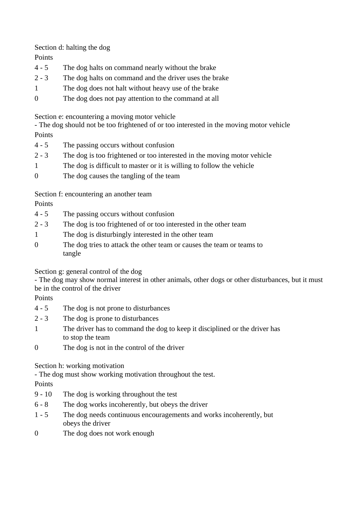Section d: halting the dog

Points

- 4 5 The dog halts on command nearly without the brake
- 2 3 The dog halts on command and the driver uses the brake
- 1 The dog does not halt without heavy use of the brake
- 0 The dog does not pay attention to the command at all

Section e: encountering a moving motor vehicle

- The dog should not be too frightened of or too interested in the moving motor vehicle Points

- 4 5 The passing occurs without confusion
- 2 3 The dog is too frightened or too interested in the moving motor vehicle
- 1 The dog is difficult to master or it is willing to follow the vehicle
- 0 The dog causes the tangling of the team

Section f: encountering an another team

Points

- 4 5 The passing occurs without confusion
- 2 3 The dog is too frightened of or too interested in the other team
- 1 The dog is disturbingly interested in the other team
- 0 The dog tries to attack the other team or causes the team or teams to tangle

Section g: general control of the dog

- The dog may show normal interest in other animals, other dogs or other disturbances, but it must be in the control of the driver

Points

- 4 5 The dog is not prone to disturbances
- 2 3 The dog is prone to disturbances
- 1 The driver has to command the dog to keep it disciplined or the driver has to stop the team
- 0 The dog is not in the control of the driver

#### Section h: working motivation

- The dog must show working motivation throughout the test.

Points

- 9 10 The dog is working throughout the test
- 6 8 The dog works incoherently, but obeys the driver
- 1 5 The dog needs continuous encouragements and works incoherently, but obeys the driver
- 0 The dog does not work enough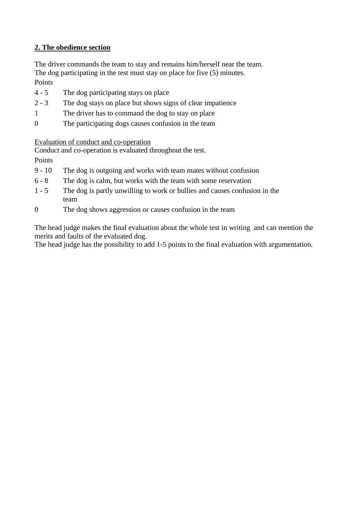#### **2. The obedience section**

The driver commands the team to stay and remains him/herself near the team. The dog participating in the test must stay on place for five (5) minutes. Points

- 4 5 The dog participating stays on place
- 2 3 The dog stays on place but shows signs of clear impatience
- 1 The driver has to command the dog to stay on place
- 0 The participating dogs causes confusion in the team

Evaluation of conduct and co-operation

Conduct and co-operation is evaluated throughout the test.

Points

- 9 10 The dog is outgoing and works with team mates without confusion
- 6 8 The dog is calm, but works with the team with some reservation
- 1 5 The dog is partly unwilling to work or bullies and causes confusion in the team
- 0 The dog shows aggression or causes confusion in the team

The head judge makes the final evaluation about the whole test in writing and can mention the merits and faults of the evaluated dog.

The head judge has the possibility to add 1-5 points to the final evaluation with argumentation.